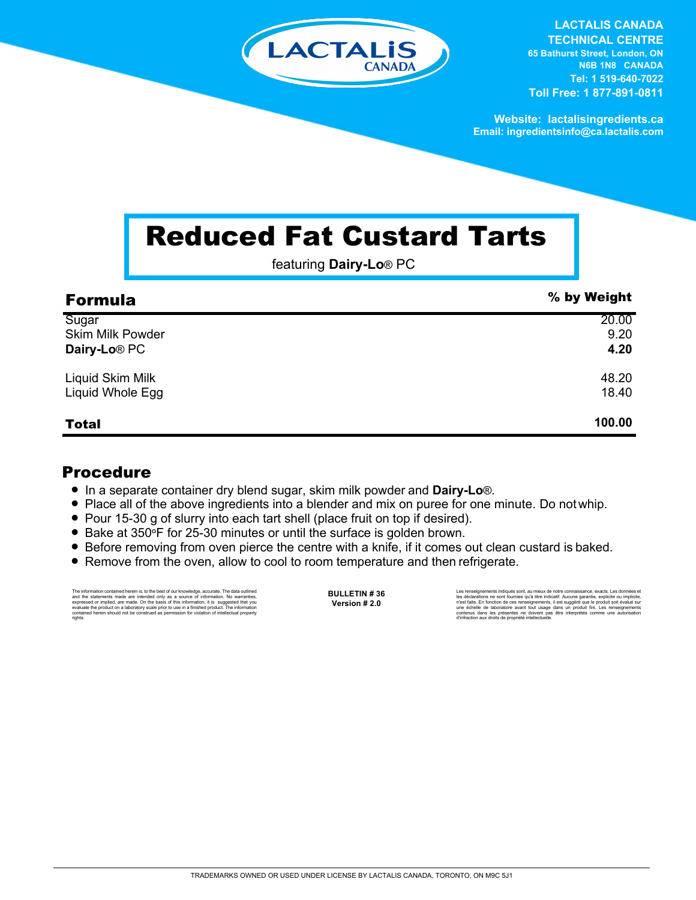

**LACTALIS CANADA TECHNICAL CENTRE 65 Bathurst Street, London, ON N6B 1N8 CANADA Tel: 1 519-640-7022 Toll Free: 1 877-891-0811**

**Website: lactalisingredients.ca Email: ingredientsinfo@ca.lactalis.com**

## Reduced Fat Custard Tarts

featuring **Dairy-Lo**® PC

| <b>Formula</b>           | % by Weight |
|--------------------------|-------------|
| Sugar                    | 20.00       |
| <b>Skim Milk Powder</b>  | 9.20        |
| Dairy-Lo <sup>®</sup> PC | 4.20        |
| Liquid Skim Milk         | 48.20       |
| Liquid Whole Egg         | 18.40       |
| <b>Total</b>             | 100.00      |

## Procedure

- In a separate container dry blend sugar, skim milk powder and **Dairy-Lo**®.
- Place all of the above ingredients into a blender and mix on puree for one minute. Do not whip.
- = Pour 15-30 g of slurry into each tart shell (place fruit on top if desired).
- Bake at 350°F for 25-30 minutes or until the surface is golden brown.
- Before removing from oven pierce the centre with a knife, if it comes out clean custard is baked.
- Remove from the oven, allow to cool to room temperature and then refrigerate.

The information contained herein is, to the best of our knowledge, accurate. The data cutlined the statements made are intended only as a source of information. No warranties, expressed or implied, are made. On the basis o

**BULLETIN # 36 Version # 2.0**

Les renseignements indiqués sont, au mieux de notre connaissance, exacts. Les données et<br>les déclarations ne sont fournies qu'à titre indicatif. Aucune garantie, explicite ou implicite,<br>riest faite. En fonction de ces rens